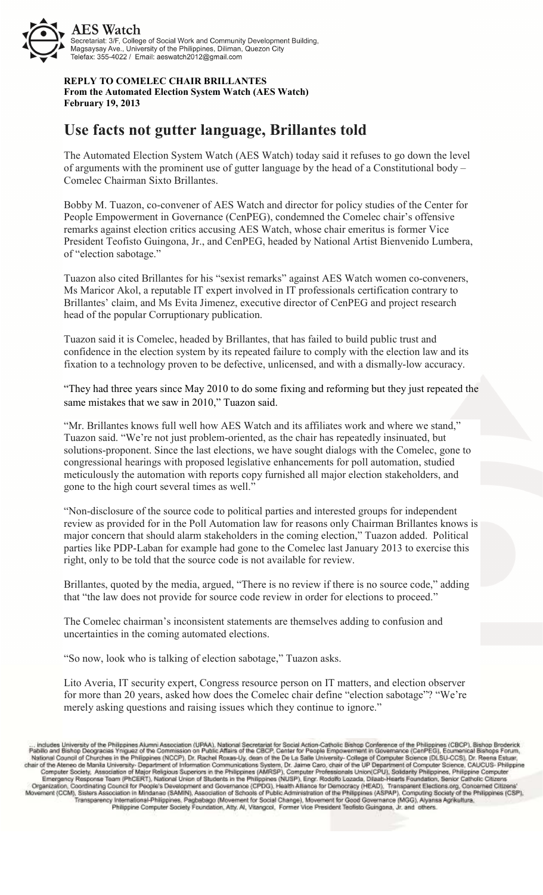

**REPLY TO COMELEC CHAIR BRILLANTES From the Automated Election System Watch (AES Watch) February 19, 2013**

## **Use facts not gutter language, Brillantes told**

The Automated Election System Watch (AES Watch) today said it refuses to go down the level of arguments with the prominent use of gutter language by the head of a Constitutional body – Comelec Chairman Sixto Brillantes.

Bobby M. Tuazon, co-convener of AES Watch and director for policy studies of the Center for People Empowerment in Governance (CenPEG), condemned the Comelec chair's offensive remarks against election critics accusing AES Watch, whose chair emeritus is former Vice President Teofisto Guingona, Jr., and CenPEG, headed by National Artist Bienvenido Lumbera, of "election sabotage."

Tuazon also cited Brillantes for his "sexist remarks" against AES Watch women co-conveners, Ms Maricor Akol, a reputable IT expert involved in IT professionals certification contrary to Brillantes' claim, and Ms Evita Jimenez, executive director of CenPEG and project research head of the popular Corruptionary publication.

Tuazon said it is Comelec, headed by Brillantes, that has failed to build public trust and confidence in the election system by its repeated failure to comply with the election law and its fixation to a technology proven to be defective, unlicensed, and with a dismally-low accuracy.

"They had three years since May 2010 to do some fixing and reforming but they just repeated the same mistakes that we saw in 2010," Tuazon said.

"Mr. Brillantes knows full well how AES Watch and its affiliates work and where we stand," Tuazon said. "We're not just problem-oriented, as the chair has repeatedly insinuated, but solutions-proponent. Since the last elections, we have sought dialogs with the Comelec, gone to congressional hearings with proposed legislative enhancements for poll automation, studied meticulously the automation with reports copy furnished all major election stakeholders, and gone to the high court several times as well."

"Non-disclosure of the source code to political parties and interested groups for independent review as provided for in the Poll Automation law for reasons only Chairman Brillantes knows is major concern that should alarm stakeholders in the coming election," Tuazon added. Political parties like PDP-Laban for example had gone to the Comelec last January 2013 to exercise this right, only to be told that the source code is not available for review.

Brillantes, quoted by the media, argued, "There is no review if there is no source code," adding that "the law does not provide for source code review in order for elections to proceed."

The Comelec chairman's inconsistent statements are themselves adding to confusion and uncertainties in the coming automated elections.

"So now, look who is talking of election sabotage," Tuazon asks.

Lito Averia, IT security expert, Congress resource person on IT matters, and election observer for more than 20 years, asked how does the Comelec chair define "election sabotage"? "We're merely asking questions and raising issues which they continue to ignore."

... includes University of the Philippines Alumni Association (UPAA), National Secretariat for Social Action-Catholic Bishop Conference of the Philippines (CBCP), Bishop Broderic<br>Pabilio and Bishop Deogracias Yniguez of th National Council of Computer Science (MLSO), Dr. Paschel Roxas-Uy, description of the De La Sale Connectaty-College of Computer Science (MLSO-CCS), Dr. Association of Maria Urisms (NUCP), Dr. Paschel National Computer Scie